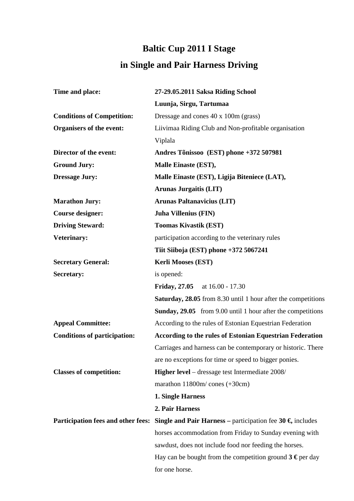## **Baltic Cup 2011 I Stage in Single and Pair Harness Driving**

| Time and place:                           | 27-29.05.2011 Saksa Riding School                                           |
|-------------------------------------------|-----------------------------------------------------------------------------|
|                                           | Luunja, Sirgu, Tartumaa                                                     |
| <b>Conditions of Competition:</b>         | Dressage and cones 40 x 100m (grass)                                        |
| Organisers of the event:                  | Liivimaa Riding Club and Non-profitable organisation                        |
|                                           | Viplala                                                                     |
| Director of the event:                    | Andres Tõnissoo (EST) phone +372 507981                                     |
| <b>Ground Jury:</b>                       | Malle Einaste (EST),                                                        |
| <b>Dressage Jury:</b>                     | Malle Einaste (EST), Ligija Biteniece (LAT),                                |
|                                           | <b>Arunas Jurgaitis (LIT)</b>                                               |
| <b>Marathon Jury:</b>                     | <b>Arunas Paltanavicius (LIT)</b>                                           |
| <b>Course designer:</b>                   | <b>Juha Villenius (FIN)</b>                                                 |
| <b>Driving Steward:</b>                   | <b>Toomas Kivastik (EST)</b>                                                |
| <b>Veterinary:</b>                        | participation according to the veterinary rules                             |
|                                           | Tiit Siiboja (EST) phone +372 5067241                                       |
| <b>Secretary General:</b>                 | <b>Kerli Mooses (EST)</b>                                                   |
| Secretary:                                | is opened:                                                                  |
|                                           | <b>Friday, 27.05</b><br>at 16.00 - 17.30                                    |
|                                           | <b>Saturday, 28.05</b> from 8.30 until 1 hour after the competitions        |
|                                           | <b>Sunday, 29.05</b> from 9.00 until 1 hour after the competitions          |
| <b>Appeal Committee:</b>                  | According to the rules of Estonian Equestrian Federation                    |
| <b>Conditions of participation:</b>       | According to the rules of Estonian Equestrian Federation                    |
|                                           | Carriages and harness can be contemporary or historic. There                |
|                                           | are no exceptions for time or speed to bigger ponies.                       |
| <b>Classes of competition:</b>            | Higher level - dressage test Intermediate 2008/                             |
|                                           | marathon $11800m/$ cones $(+30cm)$                                          |
|                                           | 1. Single Harness                                                           |
|                                           | 2. Pair Harness                                                             |
| <b>Participation fees and other fees:</b> | <b>Single and Pair Harness</b> – participation fee 30 $\epsilon$ , includes |
|                                           | horses accommodation from Friday to Sunday evening with                     |
|                                           | sawdust, does not include food nor feeding the horses.                      |
|                                           | Hay can be bought from the competition ground $3 \epsilon$ per day          |
|                                           | for one horse.                                                              |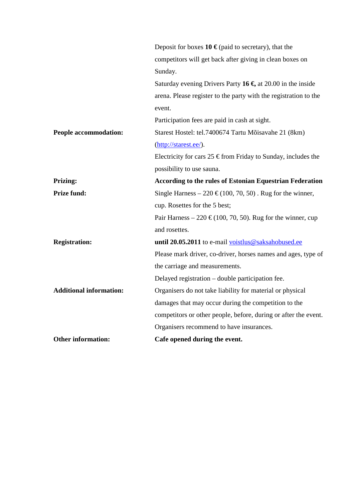|                                | Deposit for boxes $10 \in \text{(paid to secretary)}$ , that the         |
|--------------------------------|--------------------------------------------------------------------------|
|                                | competitors will get back after giving in clean boxes on                 |
|                                | Sunday.                                                                  |
|                                | Saturday evening Drivers Party 16 $\epsilon$ , at 20.00 in the inside    |
|                                | arena. Please register to the party with the registration to the         |
|                                | event.                                                                   |
|                                | Participation fees are paid in cash at sight.                            |
| People accommodation:          | Starest Hostel: tel.7400674 Tartu Mõisavahe 21 (8km)                     |
|                                | (http://starest.ee/).                                                    |
|                                | Electricity for cars $25 \in \text{from Friday to Sunday, includes the}$ |
|                                | possibility to use sauna.                                                |
| <b>Prizing:</b>                | <b>According to the rules of Estonian Equestrian Federation</b>          |
| <b>Prize fund:</b>             | Single Harness – 220 € (100, 70, 50). Rug for the winner,                |
|                                | cup. Rosettes for the 5 best;                                            |
|                                | Pair Harness – 220 € (100, 70, 50). Rug for the winner, cup              |
|                                | and rosettes.                                                            |
| <b>Registration:</b>           | until 20.05.2011 to e-mail voistlus@saksahobused.ee                      |
|                                | Please mark driver, co-driver, horses names and ages, type of            |
|                                | the carriage and measurements.                                           |
|                                | Delayed registration – double participation fee.                         |
| <b>Additional information:</b> | Organisers do not take liability for material or physical                |
|                                | damages that may occur during the competition to the                     |
|                                | competitors or other people, before, during or after the event.          |
|                                | Organisers recommend to have insurances.                                 |
| <b>Other information:</b>      | Cafe opened during the event.                                            |